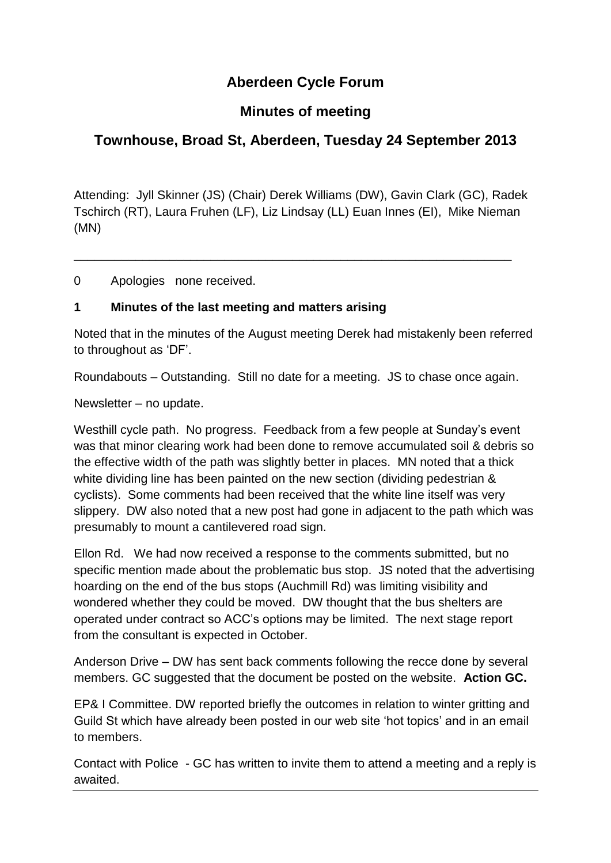# **Aberdeen Cycle Forum**

## **Minutes of meeting**

# **Townhouse, Broad St, Aberdeen, Tuesday 24 September 2013**

Attending: Jyll Skinner (JS) (Chair) Derek Williams (DW), Gavin Clark (GC), Radek Tschirch (RT), Laura Fruhen (LF), Liz Lindsay (LL) Euan Innes (EI), Mike Nieman (MN)

\_\_\_\_\_\_\_\_\_\_\_\_\_\_\_\_\_\_\_\_\_\_\_\_\_\_\_\_\_\_\_\_\_\_\_\_\_\_\_\_\_\_\_\_\_\_\_\_\_\_\_\_\_\_\_\_\_\_\_\_\_\_\_\_

0 Apologies none received.

#### **1 Minutes of the last meeting and matters arising**

Noted that in the minutes of the August meeting Derek had mistakenly been referred to throughout as 'DF'.

Roundabouts – Outstanding. Still no date for a meeting. JS to chase once again.

Newsletter – no update.

Westhill cycle path. No progress. Feedback from a few people at Sunday's event was that minor clearing work had been done to remove accumulated soil & debris so the effective width of the path was slightly better in places. MN noted that a thick white dividing line has been painted on the new section (dividing pedestrian & cyclists). Some comments had been received that the white line itself was very slippery. DW also noted that a new post had gone in adjacent to the path which was presumably to mount a cantilevered road sign.

Ellon Rd. We had now received a response to the comments submitted, but no specific mention made about the problematic bus stop. JS noted that the advertising hoarding on the end of the bus stops (Auchmill Rd) was limiting visibility and wondered whether they could be moved. DW thought that the bus shelters are operated under contract so ACC's options may be limited. The next stage report from the consultant is expected in October.

Anderson Drive – DW has sent back comments following the recce done by several members. GC suggested that the document be posted on the website. **Action GC.**

EP& I Committee. DW reported briefly the outcomes in relation to winter gritting and Guild St which have already been posted in our web site 'hot topics' and in an email to members.

Contact with Police - GC has written to invite them to attend a meeting and a reply is awaited.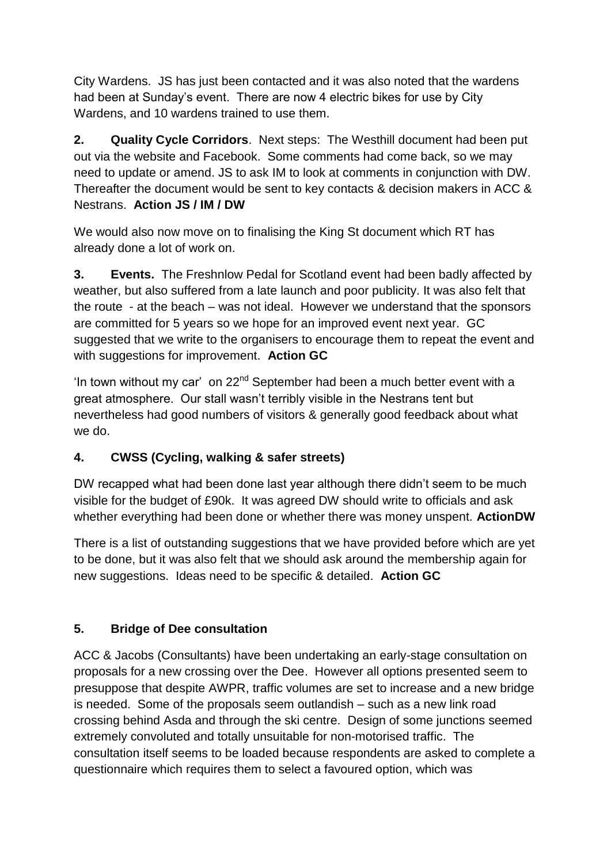City Wardens. JS has just been contacted and it was also noted that the wardens had been at Sunday's event. There are now 4 electric bikes for use by City Wardens, and 10 wardens trained to use them.

**2. Quality Cycle Corridors**. Next steps: The Westhill document had been put out via the website and Facebook. Some comments had come back, so we may need to update or amend. JS to ask IM to look at comments in conjunction with DW. Thereafter the document would be sent to key contacts & decision makers in ACC & Nestrans. **Action JS / IM / DW**

We would also now move on to finalising the King St document which RT has already done a lot of work on.

**3. Events.** The Freshnlow Pedal for Scotland event had been badly affected by weather, but also suffered from a late launch and poor publicity. It was also felt that the route - at the beach – was not ideal. However we understand that the sponsors are committed for 5 years so we hope for an improved event next year. GC suggested that we write to the organisers to encourage them to repeat the event and with suggestions for improvement. **Action GC**

'In town without my car' on  $22^{nd}$  September had been a much better event with a great atmosphere. Our stall wasn't terribly visible in the Nestrans tent but nevertheless had good numbers of visitors & generally good feedback about what we do.

## **4. CWSS (Cycling, walking & safer streets)**

DW recapped what had been done last year although there didn't seem to be much visible for the budget of £90k. It was agreed DW should write to officials and ask whether everything had been done or whether there was money unspent. **ActionDW**

There is a list of outstanding suggestions that we have provided before which are yet to be done, but it was also felt that we should ask around the membership again for new suggestions. Ideas need to be specific & detailed. **Action GC**

## **5. Bridge of Dee consultation**

ACC & Jacobs (Consultants) have been undertaking an early-stage consultation on proposals for a new crossing over the Dee. However all options presented seem to presuppose that despite AWPR, traffic volumes are set to increase and a new bridge is needed. Some of the proposals seem outlandish – such as a new link road crossing behind Asda and through the ski centre. Design of some junctions seemed extremely convoluted and totally unsuitable for non-motorised traffic. The consultation itself seems to be loaded because respondents are asked to complete a questionnaire which requires them to select a favoured option, which was